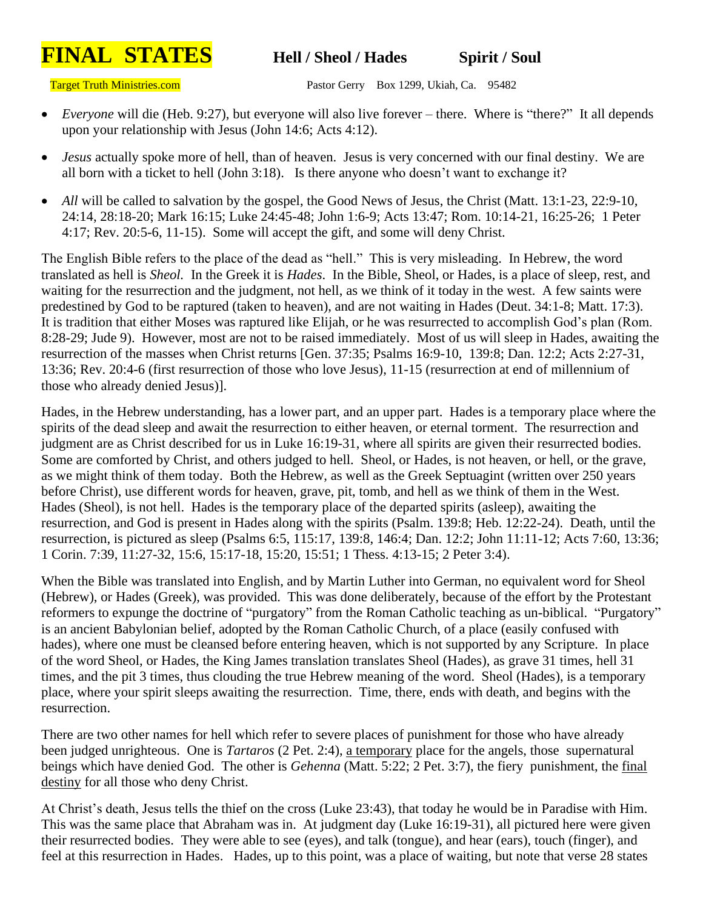## **FINAL STATES Hell / Sheol / Hades Spirit / Soul**

Target Truth Ministries.com Pastor Gerry Box 1299, Ukiah, Ca. 95482

- *Everyone* will die (Heb. 9:27), but everyone will also live forever there. Where is "there?" It all depends upon your relationship with Jesus (John 14:6; Acts 4:12).
- *Jesus* actually spoke more of hell, than of heaven. Jesus is very concerned with our final destiny. We are all born with a ticket to hell (John 3:18). Is there anyone who doesn't want to exchange it?
- *All* will be called to salvation by the gospel, the Good News of Jesus, the Christ (Matt. 13:1-23, 22:9-10, 24:14, 28:18-20; Mark 16:15; Luke 24:45-48; John 1:6-9; Acts 13:47; Rom. 10:14-21, 16:25-26; 1 Peter 4:17; Rev. 20:5-6, 11-15). Some will accept the gift, and some will deny Christ.

The English Bible refers to the place of the dead as "hell." This is very misleading. In Hebrew, the word translated as hell is *Sheol.* In the Greek it is *Hades*. In the Bible, Sheol, or Hades, is a place of sleep, rest, and waiting for the resurrection and the judgment, not hell, as we think of it today in the west. A few saints were predestined by God to be raptured (taken to heaven), and are not waiting in Hades (Deut. 34:1-8; Matt. 17:3). It is tradition that either Moses was raptured like Elijah, or he was resurrected to accomplish God's plan (Rom. 8:28-29; Jude 9). However, most are not to be raised immediately. Most of us will sleep in Hades, awaiting the resurrection of the masses when Christ returns [Gen. 37:35; Psalms 16:9-10, 139:8; Dan. 12:2; Acts 2:27-31, 13:36; Rev. 20:4-6 (first resurrection of those who love Jesus), 11-15 (resurrection at end of millennium of those who already denied Jesus)].

Hades, in the Hebrew understanding, has a lower part, and an upper part. Hades is a temporary place where the spirits of the dead sleep and await the resurrection to either heaven, or eternal torment. The resurrection and judgment are as Christ described for us in Luke 16:19-31, where all spirits are given their resurrected bodies. Some are comforted by Christ, and others judged to hell. Sheol, or Hades, is not heaven, or hell, or the grave, as we might think of them today. Both the Hebrew, as well as the Greek Septuagint (written over 250 years before Christ), use different words for heaven, grave, pit, tomb, and hell as we think of them in the West. Hades (Sheol), is not hell. Hades is the temporary place of the departed spirits (asleep), awaiting the resurrection, and God is present in Hades along with the spirits (Psalm. 139:8; Heb. 12:22-24). Death, until the resurrection, is pictured as sleep (Psalms 6:5, 115:17, 139:8, 146:4; Dan. 12:2; John 11:11-12; Acts 7:60, 13:36; 1 Corin. 7:39, 11:27-32, 15:6, 15:17-18, 15:20, 15:51; 1 Thess. 4:13-15; 2 Peter 3:4).

When the Bible was translated into English, and by Martin Luther into German, no equivalent word for Sheol (Hebrew), or Hades (Greek), was provided. This was done deliberately, because of the effort by the Protestant reformers to expunge the doctrine of "purgatory" from the Roman Catholic teaching as un-biblical. "Purgatory" is an ancient Babylonian belief, adopted by the Roman Catholic Church, of a place (easily confused with hades), where one must be cleansed before entering heaven, which is not supported by any Scripture. In place of the word Sheol, or Hades, the King James translation translates Sheol (Hades), as grave 31 times, hell 31 times, and the pit 3 times, thus clouding the true Hebrew meaning of the word. Sheol (Hades), is a temporary place, where your spirit sleeps awaiting the resurrection. Time, there, ends with death, and begins with the resurrection.

There are two other names for hell which refer to severe places of punishment for those who have already been judged unrighteous. One is *Tartaros* (2 Pet. 2:4), a temporary place for the angels, those supernatural beings which have denied God. The other is *Gehenna* (Matt. 5:22; 2 Pet. 3:7), the fiery punishment, the final destiny for all those who deny Christ.

At Christ's death, Jesus tells the thief on the cross (Luke 23:43), that today he would be in Paradise with Him. This was the same place that Abraham was in. At judgment day (Luke 16:19-31), all pictured here were given their resurrected bodies. They were able to see (eyes), and talk (tongue), and hear (ears), touch (finger), and feel at this resurrection in Hades. Hades, up to this point, was a place of waiting, but note that verse 28 states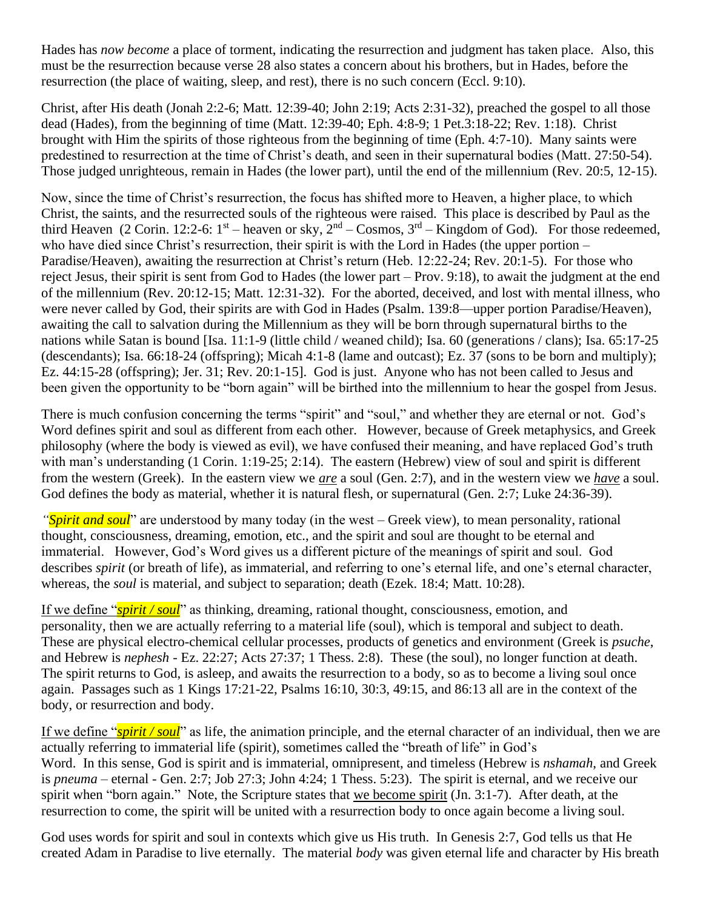Hades has *now become* a place of torment, indicating the resurrection and judgment has taken place. Also, this must be the resurrection because verse 28 also states a concern about his brothers, but in Hades, before the resurrection (the place of waiting, sleep, and rest), there is no such concern (Eccl. 9:10).

Christ, after His death (Jonah 2:2-6; Matt. 12:39-40; John 2:19; Acts 2:31-32), preached the gospel to all those dead (Hades), from the beginning of time (Matt. 12:39-40; Eph. 4:8-9; 1 Pet.3:18-22; Rev. 1:18). Christ brought with Him the spirits of those righteous from the beginning of time (Eph. 4:7-10). Many saints were predestined to resurrection at the time of Christ's death, and seen in their supernatural bodies (Matt. 27:50-54). Those judged unrighteous, remain in Hades (the lower part), until the end of the millennium (Rev. 20:5, 12-15).

Now, since the time of Christ's resurrection, the focus has shifted more to Heaven, a higher place, to which Christ, the saints, and the resurrected souls of the righteous were raised. This place is described by Paul as the third Heaven (2 Corin. 12:2-6:  $1^{st}$  – heaven or sky,  $2^{nd}$  – Cosmos,  $3^{rd}$  – Kingdom of God). For those redeemed, who have died since Christ's resurrection, their spirit is with the Lord in Hades (the upper portion – Paradise/Heaven), awaiting the resurrection at Christ's return (Heb. 12:22-24; Rev. 20:1-5). For those who reject Jesus, their spirit is sent from God to Hades (the lower part – Prov. 9:18), to await the judgment at the end of the millennium (Rev. 20:12-15; Matt. 12:31-32). For the aborted, deceived, and lost with mental illness, who were never called by God, their spirits are with God in Hades (Psalm. 139:8—upper portion Paradise/Heaven), awaiting the call to salvation during the Millennium as they will be born through supernatural births to the nations while Satan is bound [Isa. 11:1-9 (little child / weaned child); Isa. 60 (generations / clans); Isa. 65:17-25 (descendants); Isa. 66:18-24 (offspring); Micah 4:1-8 (lame and outcast); Ez. 37 (sons to be born and multiply); Ez. 44:15-28 (offspring); Jer. 31; Rev. 20:1-15]. God is just. Anyone who has not been called to Jesus and been given the opportunity to be "born again" will be birthed into the millennium to hear the gospel from Jesus.

There is much confusion concerning the terms "spirit" and "soul," and whether they are eternal or not. God's Word defines spirit and soul as different from each other. However, because of Greek metaphysics, and Greek philosophy (where the body is viewed as evil), we have confused their meaning, and have replaced God's truth with man's understanding (1 Corin. 1:19-25; 2:14). The eastern (Hebrew) view of soul and spirit is different from the western (Greek). In the eastern view we *are* a soul (Gen. 2:7), and in the western view we *have* a soul. God defines the body as material, whether it is natural flesh, or supernatural (Gen. 2:7; Luke 24:36-39).

*"Spirit and soul*" are understood by many today (in the west – Greek view), to mean personality, rational thought, consciousness, dreaming, emotion, etc., and the spirit and soul are thought to be eternal and immaterial. However, God's Word gives us a different picture of the meanings of spirit and soul. God describes *spirit* (or breath of life), as immaterial, and referring to one's eternal life, and one's eternal character, whereas, the *soul* is material, and subject to separation; death (Ezek. 18:4; Matt. 10:28).

If we define "*spirit / soul*" as thinking, dreaming, rational thought, consciousness, emotion, and personality, then we are actually referring to a material life (soul), which is temporal and subject to death. These are physical electro-chemical cellular processes, products of genetics and environment (Greek is *psuche*, and Hebrew is *nephesh* - Ez. 22:27; Acts 27:37; 1 Thess. 2:8). These (the soul), no longer function at death. The spirit returns to God, is asleep, and awaits the resurrection to a body, so as to become a living soul once again. Passages such as 1 Kings 17:21-22, Psalms 16:10, 30:3, 49:15, and 86:13 all are in the context of the body, or resurrection and body.

If we define "*spirit / soul*" as life, the animation principle, and the eternal character of an individual, then we are actually referring to immaterial life (spirit), sometimes called the "breath of life" in God's Word. In this sense, God is spirit and is immaterial, omnipresent, and timeless (Hebrew is *nshamah*, and Greek is *pneuma* – eternal - Gen. 2:7; Job 27:3; John 4:24; 1 Thess. 5:23). The spirit is eternal, and we receive our spirit when "born again." Note, the Scripture states that we become spirit (Jn. 3:1-7). After death, at the resurrection to come, the spirit will be united with a resurrection body to once again become a living soul.

God uses words for spirit and soul in contexts which give us His truth. In Genesis 2:7, God tells us that He created Adam in Paradise to live eternally. The material *body* was given eternal life and character by His breath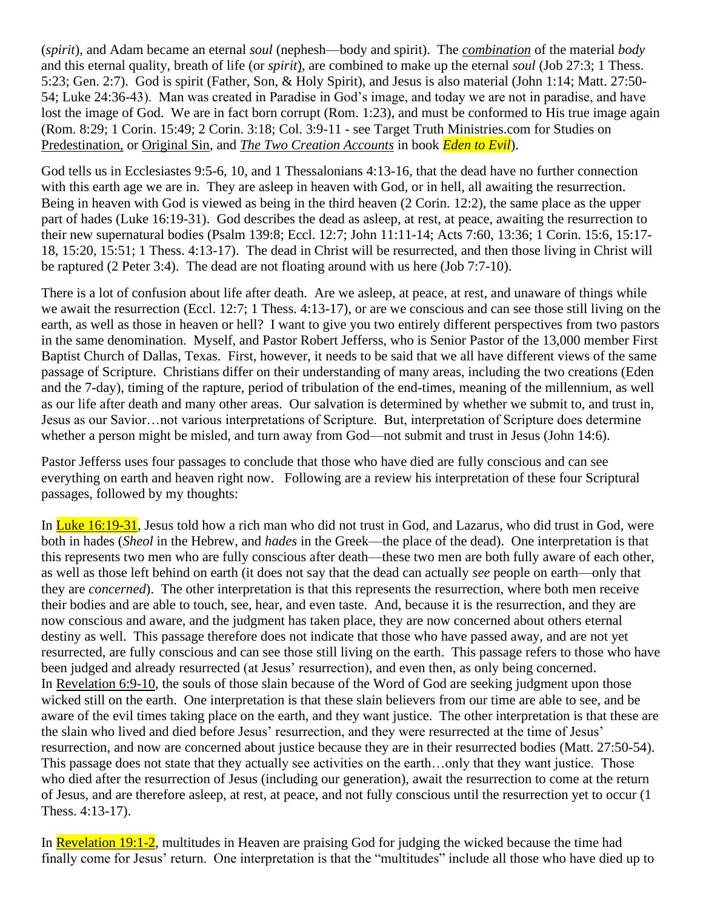(*spirit*), and Adam became an eternal *soul* (nephesh—body and spirit). The *combination* of the material *body* and this eternal quality, breath of life (or *spirit*), are combined to make up the eternal *soul* (Job 27:3; 1 Thess. 5:23; Gen. 2:7). God is spirit (Father, Son, & Holy Spirit), and Jesus is also material (John 1:14; Matt. 27:50- 54; Luke 24:36-43). Man was created in Paradise in God's image, and today we are not in paradise, and have lost the image of God. We are in fact born corrupt (Rom. 1:23), and must be conformed to His true image again (Rom. 8:29; 1 Corin. 15:49; 2 Corin. 3:18; Col. 3:9-11 - see Target Truth Ministries.com for Studies on Predestination, or Original Sin, and *The Two Creation Accounts* in book *Eden to Evil*).

God tells us in Ecclesiastes 9:5-6, 10, and 1 Thessalonians 4:13-16, that the dead have no further connection with this earth age we are in. They are asleep in heaven with God, or in hell, all awaiting the resurrection. Being in heaven with God is viewed as being in the third heaven (2 Corin. 12:2), the same place as the upper part of hades (Luke 16:19-31). God describes the dead as asleep, at rest, at peace, awaiting the resurrection to their new supernatural bodies (Psalm 139:8; Eccl. 12:7; John 11:11-14; Acts 7:60, 13:36; 1 Corin. 15:6, 15:17- 18, 15:20, 15:51; 1 Thess. 4:13-17). The dead in Christ will be resurrected, and then those living in Christ will be raptured (2 Peter 3:4). The dead are not floating around with us here (Job 7:7-10).

There is a lot of confusion about life after death. Are we asleep, at peace, at rest, and unaware of things while we await the resurrection (Eccl. 12:7; 1 Thess. 4:13-17), or are we conscious and can see those still living on the earth, as well as those in heaven or hell? I want to give you two entirely different perspectives from two pastors in the same denomination. Myself, and Pastor Robert Jefferss, who is Senior Pastor of the 13,000 member First Baptist Church of Dallas, Texas. First, however, it needs to be said that we all have different views of the same passage of Scripture. Christians differ on their understanding of many areas, including the two creations (Eden and the 7-day), timing of the rapture, period of tribulation of the end-times, meaning of the millennium, as well as our life after death and many other areas. Our salvation is determined by whether we submit to, and trust in, Jesus as our Savior…not various interpretations of Scripture. But, interpretation of Scripture does determine whether a person might be misled, and turn away from God—not submit and trust in Jesus (John 14:6).

Pastor Jefferss uses four passages to conclude that those who have died are fully conscious and can see everything on earth and heaven right now. Following are a review his interpretation of these four Scriptural passages, followed by my thoughts:

In Luke 16:19-31, Jesus told how a rich man who did not trust in God, and Lazarus, who did trust in God, were both in hades (*Sheol* in the Hebrew, and *hades* in the Greek—the place of the dead). One interpretation is that this represents two men who are fully conscious after death—these two men are both fully aware of each other, as well as those left behind on earth (it does not say that the dead can actually *see* people on earth—only that they are *concerned*). The other interpretation is that this represents the resurrection, where both men receive their bodies and are able to touch, see, hear, and even taste. And, because it is the resurrection, and they are now conscious and aware, and the judgment has taken place, they are now concerned about others eternal destiny as well. This passage therefore does not indicate that those who have passed away, and are not yet resurrected, are fully conscious and can see those still living on the earth. This passage refers to those who have been judged and already resurrected (at Jesus' resurrection), and even then, as only being concerned. In Revelation 6:9-10, the souls of those slain because of the Word of God are seeking judgment upon those wicked still on the earth. One interpretation is that these slain believers from our time are able to see, and be aware of the evil times taking place on the earth, and they want justice. The other interpretation is that these are the slain who lived and died before Jesus' resurrection, and they were resurrected at the time of Jesus' resurrection, and now are concerned about justice because they are in their resurrected bodies (Matt. 27:50-54). This passage does not state that they actually see activities on the earth…only that they want justice. Those who died after the resurrection of Jesus (including our generation), await the resurrection to come at the return of Jesus, and are therefore asleep, at rest, at peace, and not fully conscious until the resurrection yet to occur (1 Thess. 4:13-17).

In Revelation 19:1-2, multitudes in Heaven are praising God for judging the wicked because the time had finally come for Jesus' return. One interpretation is that the "multitudes" include all those who have died up to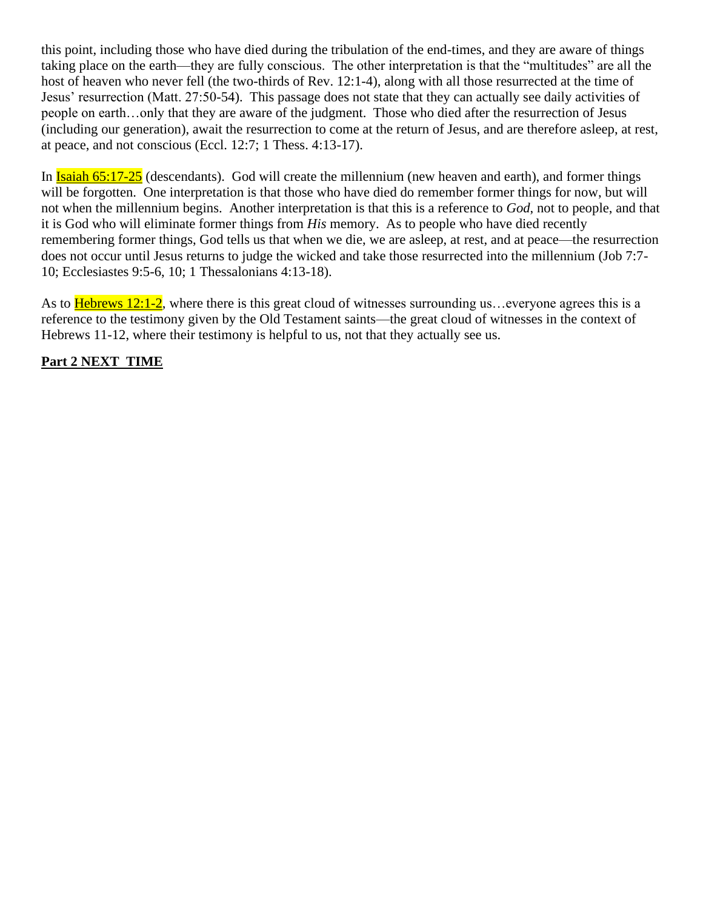this point, including those who have died during the tribulation of the end-times, and they are aware of things taking place on the earth—they are fully conscious. The other interpretation is that the "multitudes" are all the host of heaven who never fell (the two-thirds of Rev. 12:1-4), along with all those resurrected at the time of Jesus' resurrection (Matt. 27:50-54). This passage does not state that they can actually see daily activities of people on earth…only that they are aware of the judgment. Those who died after the resurrection of Jesus (including our generation), await the resurrection to come at the return of Jesus, and are therefore asleep, at rest, at peace, and not conscious (Eccl. 12:7; 1 Thess. 4:13-17).

In Isaiah 65:17-25 (descendants). God will create the millennium (new heaven and earth), and former things will be forgotten. One interpretation is that those who have died do remember former things for now, but will not when the millennium begins. Another interpretation is that this is a reference to *God*, not to people, and that it is God who will eliminate former things from *His* memory. As to people who have died recently remembering former things, God tells us that when we die, we are asleep, at rest, and at peace—the resurrection does not occur until Jesus returns to judge the wicked and take those resurrected into the millennium (Job 7:7- 10; Ecclesiastes 9:5-6, 10; 1 Thessalonians 4:13-18).

As to **Hebrews 12:1-2**, where there is this great cloud of witnesses surrounding us... everyone agrees this is a reference to the testimony given by the Old Testament saints—the great cloud of witnesses in the context of Hebrews 11-12, where their testimony is helpful to us, not that they actually see us.

## **Part 2 NEXT TIME**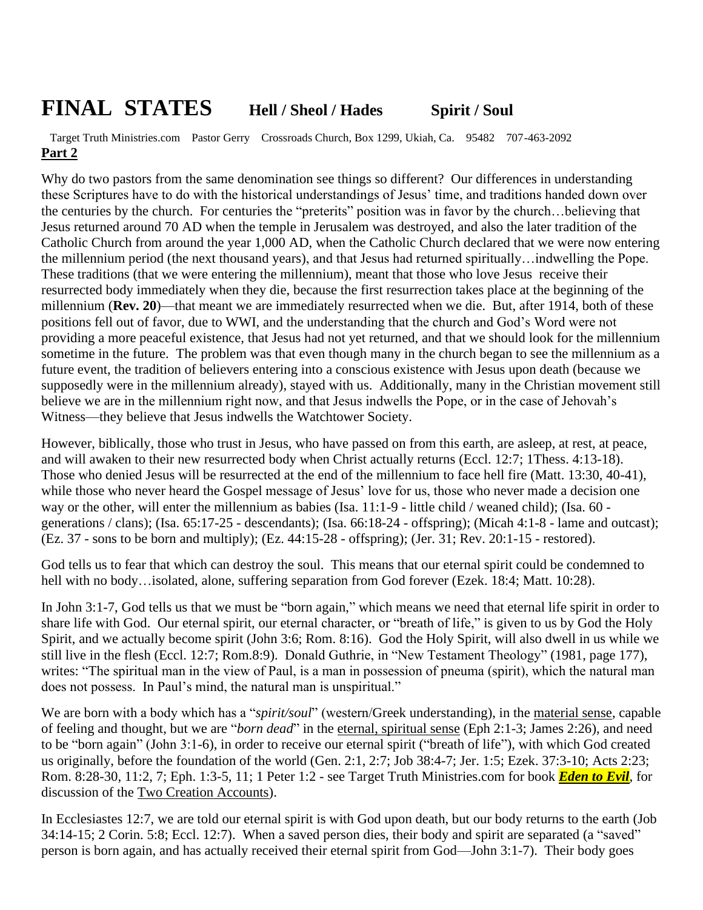## **FINAL STATES Hell / Sheol / Hades Spirit / Soul**

 Target Truth Ministries.com Pastor Gerry Crossroads Church, Box 1299, Ukiah, Ca. 95482 707-463-2092 **Part 2**

Why do two pastors from the same denomination see things so different? Our differences in understanding these Scriptures have to do with the historical understandings of Jesus' time, and traditions handed down over the centuries by the church. For centuries the "preterits" position was in favor by the church…believing that Jesus returned around 70 AD when the temple in Jerusalem was destroyed, and also the later tradition of the Catholic Church from around the year 1,000 AD, when the Catholic Church declared that we were now entering the millennium period (the next thousand years), and that Jesus had returned spiritually…indwelling the Pope. These traditions (that we were entering the millennium), meant that those who love Jesus receive their resurrected body immediately when they die, because the first resurrection takes place at the beginning of the millennium (**Rev. 20**)—that meant we are immediately resurrected when we die. But, after 1914, both of these positions fell out of favor, due to WWI, and the understanding that the church and God's Word were not providing a more peaceful existence, that Jesus had not yet returned, and that we should look for the millennium sometime in the future. The problem was that even though many in the church began to see the millennium as a future event, the tradition of believers entering into a conscious existence with Jesus upon death (because we supposedly were in the millennium already), stayed with us. Additionally, many in the Christian movement still believe we are in the millennium right now, and that Jesus indwells the Pope, or in the case of Jehovah's Witness—they believe that Jesus indwells the Watchtower Society.

However, biblically, those who trust in Jesus, who have passed on from this earth, are asleep, at rest, at peace, and will awaken to their new resurrected body when Christ actually returns (Eccl. 12:7; 1Thess. 4:13-18). Those who denied Jesus will be resurrected at the end of the millennium to face hell fire (Matt. 13:30, 40-41), while those who never heard the Gospel message of Jesus' love for us, those who never made a decision one way or the other, will enter the millennium as babies (Isa. 11:1-9 - little child / weaned child); (Isa. 60 generations / clans); (Isa. 65:17-25 - descendants); (Isa. 66:18-24 - offspring); (Micah 4:1-8 - lame and outcast); (Ez. 37 - sons to be born and multiply); (Ez. 44:15-28 - offspring); (Jer. 31; Rev. 20:1-15 - restored).

God tells us to fear that which can destroy the soul. This means that our eternal spirit could be condemned to hell with no body…isolated, alone, suffering separation from God forever (Ezek. 18:4; Matt. 10:28).

In John 3:1-7, God tells us that we must be "born again," which means we need that eternal life spirit in order to share life with God. Our eternal spirit, our eternal character, or "breath of life," is given to us by God the Holy Spirit, and we actually become spirit (John 3:6; Rom. 8:16). God the Holy Spirit, will also dwell in us while we still live in the flesh (Eccl. 12:7; Rom.8:9). Donald Guthrie, in "New Testament Theology" (1981, page 177), writes: "The spiritual man in the view of Paul, is a man in possession of pneuma (spirit), which the natural man does not possess. In Paul's mind, the natural man is unspiritual."

We are born with a body which has a "*spirit/soul*" (western/Greek understanding), in the material sense, capable of feeling and thought, but we are "*born dead*" in the eternal, spiritual sense (Eph 2:1-3; James 2:26), and need to be "born again" (John 3:1-6), in order to receive our eternal spirit ("breath of life"), with which God created us originally, before the foundation of the world (Gen. 2:1, 2:7; Job 38:4-7; Jer. 1:5; Ezek. 37:3-10; Acts 2:23; Rom. 8:28-30, 11:2, 7; Eph. 1:3-5, 11; 1 Peter 1:2 - see Target Truth Ministries.com for book *Eden to Evil*, for discussion of the Two Creation Accounts).

In Ecclesiastes 12:7, we are told our eternal spirit is with God upon death, but our body returns to the earth (Job 34:14-15; 2 Corin. 5:8; Eccl. 12:7). When a saved person dies, their body and spirit are separated (a "saved" person is born again, and has actually received their eternal spirit from God—John 3:1-7). Their body goes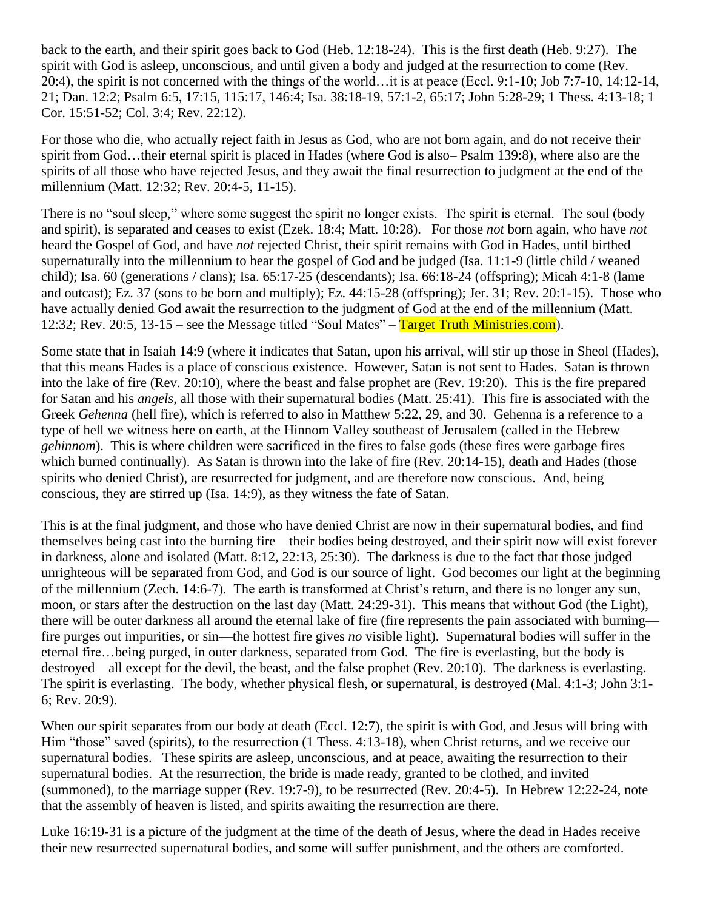back to the earth, and their spirit goes back to God (Heb. 12:18-24). This is the first death (Heb. 9:27). The spirit with God is asleep, unconscious, and until given a body and judged at the resurrection to come (Rev. 20:4), the spirit is not concerned with the things of the world…it is at peace (Eccl. 9:1-10; Job 7:7-10, 14:12-14, 21; Dan. 12:2; Psalm 6:5, 17:15, 115:17, 146:4; Isa. 38:18-19, 57:1-2, 65:17; John 5:28-29; 1 Thess. 4:13-18; 1 Cor. 15:51-52; Col. 3:4; Rev. 22:12).

For those who die, who actually reject faith in Jesus as God, who are not born again, and do not receive their spirit from God…their eternal spirit is placed in Hades (where God is also– Psalm 139:8), where also are the spirits of all those who have rejected Jesus, and they await the final resurrection to judgment at the end of the millennium (Matt. 12:32; Rev. 20:4-5, 11-15).

There is no "soul sleep," where some suggest the spirit no longer exists. The spirit is eternal. The soul (body and spirit), is separated and ceases to exist (Ezek. 18:4; Matt. 10:28). For those *not* born again, who have *not* heard the Gospel of God, and have *not* rejected Christ, their spirit remains with God in Hades, until birthed supernaturally into the millennium to hear the gospel of God and be judged (Isa. 11:1-9 (little child / weaned child); Isa. 60 (generations / clans); Isa. 65:17-25 (descendants); Isa. 66:18-24 (offspring); Micah 4:1-8 (lame and outcast); Ez. 37 (sons to be born and multiply); Ez. 44:15-28 (offspring); Jer. 31; Rev. 20:1-15). Those who have actually denied God await the resurrection to the judgment of God at the end of the millennium (Matt. 12:32; Rev. 20:5, 13-15 – see the Message titled "Soul Mates" – Target Truth Ministries.com).

Some state that in Isaiah 14:9 (where it indicates that Satan, upon his arrival, will stir up those in Sheol (Hades), that this means Hades is a place of conscious existence. However, Satan is not sent to Hades. Satan is thrown into the lake of fire (Rev. 20:10), where the beast and false prophet are (Rev. 19:20). This is the fire prepared for Satan and his *angels*, all those with their supernatural bodies (Matt. 25:41). This fire is associated with the Greek *Gehenna* (hell fire), which is referred to also in Matthew 5:22, 29, and 30. Gehenna is a reference to a type of hell we witness here on earth, at the Hinnom Valley southeast of Jerusalem (called in the Hebrew *gehinnom*). This is where children were sacrificed in the fires to false gods (these fires were garbage fires which burned continually). As Satan is thrown into the lake of fire (Rev. 20:14-15), death and Hades (those spirits who denied Christ), are resurrected for judgment, and are therefore now conscious. And, being conscious, they are stirred up (Isa. 14:9), as they witness the fate of Satan.

This is at the final judgment, and those who have denied Christ are now in their supernatural bodies, and find themselves being cast into the burning fire—their bodies being destroyed, and their spirit now will exist forever in darkness, alone and isolated (Matt. 8:12, 22:13, 25:30). The darkness is due to the fact that those judged unrighteous will be separated from God, and God is our source of light. God becomes our light at the beginning of the millennium (Zech. 14:6-7). The earth is transformed at Christ's return, and there is no longer any sun, moon, or stars after the destruction on the last day (Matt. 24:29-31). This means that without God (the Light), there will be outer darkness all around the eternal lake of fire (fire represents the pain associated with burning fire purges out impurities, or sin—the hottest fire gives *no* visible light). Supernatural bodies will suffer in the eternal fire…being purged, in outer darkness, separated from God. The fire is everlasting, but the body is destroyed—all except for the devil, the beast, and the false prophet (Rev. 20:10). The darkness is everlasting. The spirit is everlasting. The body, whether physical flesh, or supernatural, is destroyed (Mal. 4:1-3; John 3:1- 6; Rev. 20:9).

When our spirit separates from our body at death (Eccl. 12:7), the spirit is with God, and Jesus will bring with Him "those" saved (spirits), to the resurrection (1 Thess. 4:13-18), when Christ returns, and we receive our supernatural bodies. These spirits are asleep, unconscious, and at peace, awaiting the resurrection to their supernatural bodies. At the resurrection, the bride is made ready, granted to be clothed, and invited (summoned), to the marriage supper (Rev. 19:7-9), to be resurrected (Rev. 20:4-5). In Hebrew 12:22-24, note that the assembly of heaven is listed, and spirits awaiting the resurrection are there.

Luke 16:19-31 is a picture of the judgment at the time of the death of Jesus, where the dead in Hades receive their new resurrected supernatural bodies, and some will suffer punishment, and the others are comforted.